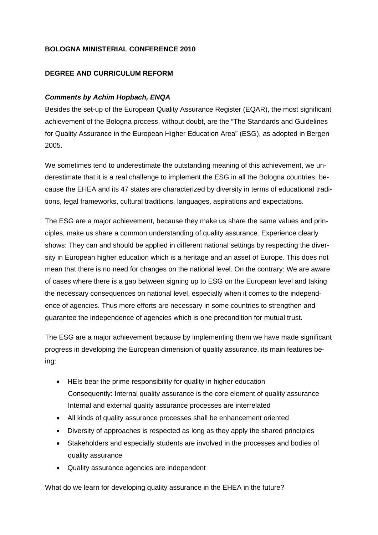## **BOLOGNA MINISTERIAL CONFERENCE 2010**

## **DEGREE AND CURRICULUM REFORM**

## *Comments by Achim Hopbach, ENQA*

Besides the set-up of the European Quality Assurance Register (EQAR), the most significant achievement of the Bologna process, without doubt, are the "The Standards and Guidelines for Quality Assurance in the European Higher Education Area" (ESG), as adopted in Bergen 2005.

We sometimes tend to underestimate the outstanding meaning of this achievement, we underestimate that it is a real challenge to implement the ESG in all the Bologna countries, because the EHEA and its 47 states are characterized by diversity in terms of educational traditions, legal frameworks, cultural traditions, languages, aspirations and expectations.

The ESG are a major achievement, because they make us share the same values and principles, make us share a common understanding of quality assurance. Experience clearly shows: They can and should be applied in different national settings by respecting the diversity in European higher education which is a heritage and an asset of Europe. This does not mean that there is no need for changes on the national level. On the contrary: We are aware of cases where there is a gap between signing up to ESG on the European level and taking the necessary consequences on national level, especially when it comes to the independence of agencies. Thus more efforts are necessary in some countries to strengthen and guarantee the independence of agencies which is one precondition for mutual trust.

The ESG are a major achievement because by implementing them we have made significant progress in developing the European dimension of quality assurance, its main features being:

- HEIs bear the prime responsibility for quality in higher education Consequently: Internal quality assurance is the core element of quality assurance Internal and external quality assurance processes are interrelated
- All kinds of quality assurance processes shall be enhancement oriented
- Diversity of approaches is respected as long as they apply the shared principles
- Stakeholders and especially students are involved in the processes and bodies of quality assurance
- Quality assurance agencies are independent

What do we learn for developing quality assurance in the EHEA in the future?